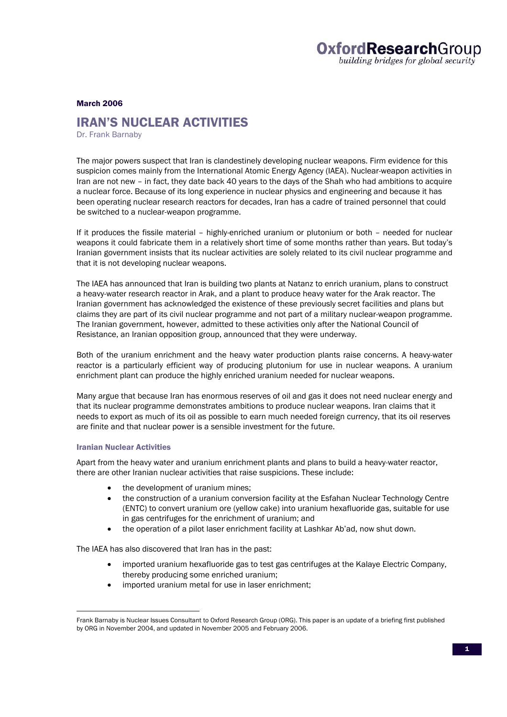#### March 2006

### IRAN'S NUCLEAR ACTIVITIES

Dr. Frank Barnaby

The major powers suspect that Iran is clandestinely developing nuclear weapons. Firm evidence for this suspicion comes mainly from the International Atomic Energy Agency (IAEA). Nuclear-weapon activities in Iran are not new – in fact, they date back 40 years to the days of the Shah who had ambitions to acquire a nuclear force. Because of its long experience in nuclear physics and engineering and because it has been operating nuclear research reactors for decades, Iran has a cadre of trained personnel that could be switched to a nuclear-weapon programme.

If it produces the fissile material – highly-enriched uranium or plutonium or both – needed for nuclear weapons it could fabricate them in a relatively short time of some months rather than years. But today's Iranian government insists that its nuclear activities are solely related to its civil nuclear programme and that it is not developing nuclear weapons.

The IAEA has announced that Iran is building two plants at Natanz to enrich uranium, plans to construct a heavy-water research reactor in Arak, and a plant to produce heavy water for the Arak reactor. The Iranian government has acknowledged the existence of these previously secret facilities and plans but claims they are part of its civil nuclear programme and not part of a military nuclear-weapon programme. The Iranian government, however, admitted to these activities only after the National Council of Resistance, an Iranian opposition group, announced that they were underway.

Both of the uranium enrichment and the heavy water production plants raise concerns. A heavy-water reactor is a particularly efficient way of producing plutonium for use in nuclear weapons. A uranium enrichment plant can produce the highly enriched uranium needed for nuclear weapons.

Many argue that because Iran has enormous reserves of oil and gas it does not need nuclear energy and that its nuclear programme demonstrates ambitions to produce nuclear weapons. Iran claims that it needs to export as much of its oil as possible to earn much needed foreign currency, that its oil reserves are finite and that nuclear power is a sensible investment for the future.

### Iranian Nuclear Activities

l

Apart from the heavy water and uranium enrichment plants and plans to build a heavy-water reactor, there are other Iranian nuclear activities that raise suspicions. These include:

- the development of uranium mines;
- the construction of a uranium conversion facility at the Esfahan Nuclear Technology Centre (ENTC) to convert uranium ore (yellow cake) into uranium hexafluoride gas, suitable for use in gas centrifuges for the enrichment of uranium; and
- the operation of a pilot laser enrichment facility at Lashkar Ab'ad, now shut down.

The IAEA has also discovered that Iran has in the past:

- imported uranium hexafluoride gas to test gas centrifuges at the Kalaye Electric Company, thereby producing some enriched uranium;
- imported uranium metal for use in laser enrichment;

Frank Barnaby is Nuclear Issues Consultant to Oxford Research Group (ORG). This paper is an update of a briefing first published by ORG in November 2004, and updated in November 2005 and February 2006.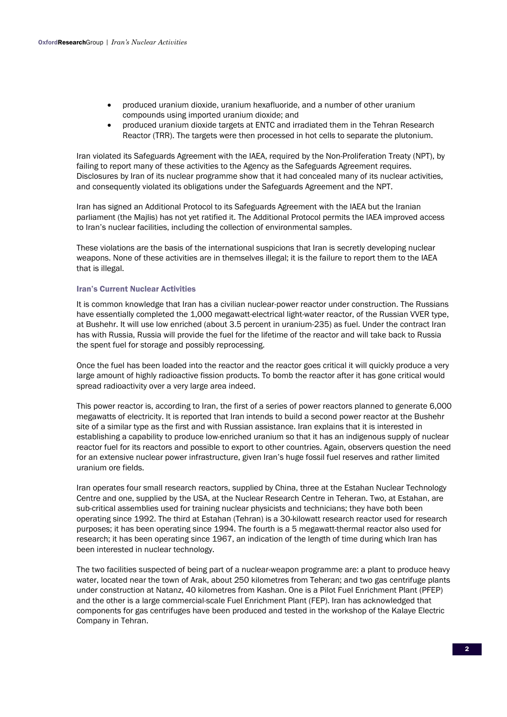- produced uranium dioxide, uranium hexafluoride, and a number of other uranium compounds using imported uranium dioxide; and
- produced uranium dioxide targets at ENTC and irradiated them in the Tehran Research Reactor (TRR). The targets were then processed in hot cells to separate the plutonium.

Iran violated its Safeguards Agreement with the IAEA, required by the Non-Proliferation Treaty (NPT), by failing to report many of these activities to the Agency as the Safeguards Agreement requires. Disclosures by Iran of its nuclear programme show that it had concealed many of its nuclear activities, and consequently violated its obligations under the Safeguards Agreement and the NPT.

Iran has signed an Additional Protocol to its Safeguards Agreement with the IAEA but the Iranian parliament (the Majlis) has not yet ratified it. The Additional Protocol permits the IAEA improved access to Iran's nuclear facilities, including the collection of environmental samples.

These violations are the basis of the international suspicions that Iran is secretly developing nuclear weapons. None of these activities are in themselves illegal; it is the failure to report them to the IAEA that is illegal.

# Iran's Current Nuclear Activities

It is common knowledge that Iran has a civilian nuclear-power reactor under construction. The Russians have essentially completed the 1,000 megawatt-electrical light-water reactor, of the Russian VVER type, at Bushehr. It will use low enriched (about 3.5 percent in uranium-235) as fuel. Under the contract Iran has with Russia, Russia will provide the fuel for the lifetime of the reactor and will take back to Russia the spent fuel for storage and possibly reprocessing.

Once the fuel has been loaded into the reactor and the reactor goes critical it will quickly produce a very large amount of highly radioactive fission products. To bomb the reactor after it has gone critical would spread radioactivity over a very large area indeed.

This power reactor is, according to Iran, the first of a series of power reactors planned to generate 6,000 megawatts of electricity. It is reported that Iran intends to build a second power reactor at the Bushehr site of a similar type as the first and with Russian assistance. Iran explains that it is interested in establishing a capability to produce low-enriched uranium so that it has an indigenous supply of nuclear reactor fuel for its reactors and possible to export to other countries. Again, observers question the need for an extensive nuclear power infrastructure, given Iran's huge fossil fuel reserves and rather limited uranium ore fields.

Iran operates four small research reactors, supplied by China, three at the Estahan Nuclear Technology Centre and one, supplied by the USA, at the Nuclear Research Centre in Teheran. Two, at Estahan, are sub-critical assemblies used for training nuclear physicists and technicians; they have both been operating since 1992. The third at Estahan (Tehran) is a 30-kilowatt research reactor used for research purposes; it has been operating since 1994. The fourth is a 5 megawatt-thermal reactor also used for research; it has been operating since 1967, an indication of the length of time during which Iran has been interested in nuclear technology.

The two facilities suspected of being part of a nuclear-weapon programme are: a plant to produce heavy water, located near the town of Arak, about 250 kilometres from Teheran; and two gas centrifuge plants under construction at Natanz, 40 kilometres from Kashan. One is a Pilot Fuel Enrichment Plant (PFEP) and the other is a large commercial-scale Fuel Enrichment Plant (FEP). Iran has acknowledged that components for gas centrifuges have been produced and tested in the workshop of the Kalaye Electric Company in Tehran.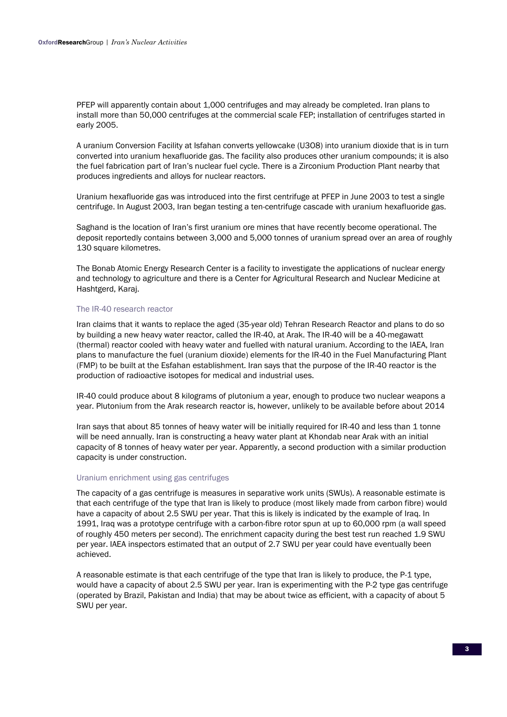PFEP will apparently contain about 1,000 centrifuges and may already be completed. Iran plans to install more than 50,000 centrifuges at the commercial scale FEP; installation of centrifuges started in early 2005.

A uranium Conversion Facility at Isfahan converts yellowcake (U3O8) into uranium dioxide that is in turn converted into uranium hexafluoride gas. The facility also produces other uranium compounds; it is also the fuel fabrication part of Iran's nuclear fuel cycle. There is a Zirconium Production Plant nearby that produces ingredients and alloys for nuclear reactors.

Uranium hexafluoride gas was introduced into the first centrifuge at PFEP in June 2003 to test a single centrifuge. In August 2003, Iran began testing a ten-centrifuge cascade with uranium hexafluoride gas.

Saghand is the location of Iran's first uranium ore mines that have recently become operational. The deposit reportedly contains between 3,000 and 5,000 tonnes of uranium spread over an area of roughly 130 square kilometres.

The Bonab Atomic Energy Research Center is a facility to investigate the applications of nuclear energy and technology to agriculture and there is a Center for Agricultural Research and Nuclear Medicine at Hashtgerd, Karaj.

#### The IR-40 research reactor

Iran claims that it wants to replace the aged (35-year old) Tehran Research Reactor and plans to do so by building a new heavy water reactor, called the IR-40, at Arak. The IR-40 will be a 40-megawatt (thermal) reactor cooled with heavy water and fuelled with natural uranium. According to the IAEA, Iran plans to manufacture the fuel (uranium dioxide) elements for the IR-40 in the Fuel Manufacturing Plant (FMP) to be built at the Esfahan establishment. Iran says that the purpose of the IR-40 reactor is the production of radioactive isotopes for medical and industrial uses.

IR-40 could produce about 8 kilograms of plutonium a year, enough to produce two nuclear weapons a year. Plutonium from the Arak research reactor is, however, unlikely to be available before about 2014

Iran says that about 85 tonnes of heavy water will be initially required for IR-40 and less than 1 tonne will be need annually. Iran is constructing a heavy water plant at Khondab near Arak with an initial capacity of 8 tonnes of heavy water per year. Apparently, a second production with a similar production capacity is under construction.

#### Uranium enrichment using gas centrifuges

The capacity of a gas centrifuge is measures in separative work units (SWUs). A reasonable estimate is that each centrifuge of the type that Iran is likely to produce (most likely made from carbon fibre) would have a capacity of about 2.5 SWU per year. That this is likely is indicated by the example of Iraq. In 1991, Iraq was a prototype centrifuge with a carbon-fibre rotor spun at up to 60,000 rpm (a wall speed of roughly 450 meters per second). The enrichment capacity during the best test run reached 1.9 SWU per year. IAEA inspectors estimated that an output of 2.7 SWU per year could have eventually been achieved.

A reasonable estimate is that each centrifuge of the type that Iran is likely to produce, the P-1 type, would have a capacity of about 2.5 SWU per year. Iran is experimenting with the P-2 type gas centrifuge (operated by Brazil, Pakistan and India) that may be about twice as efficient, with a capacity of about 5 SWU per year.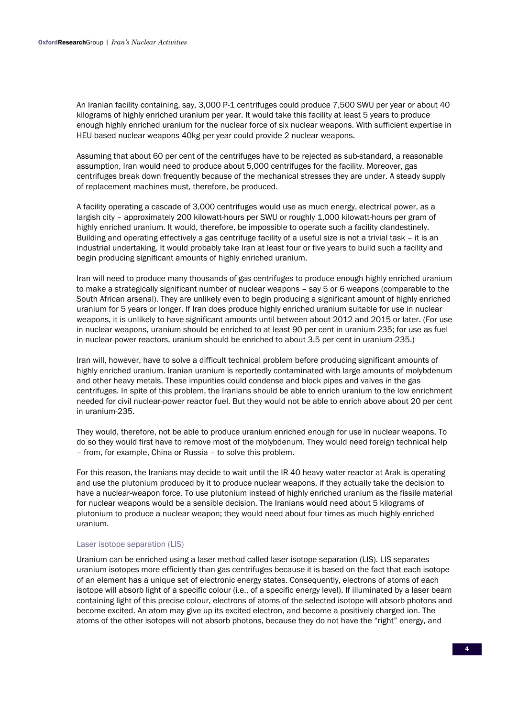An Iranian facility containing, say, 3,000 P-1 centrifuges could produce 7,500 SWU per year or about 40 kilograms of highly enriched uranium per year. It would take this facility at least 5 years to produce enough highly enriched uranium for the nuclear force of six nuclear weapons. With sufficient expertise in HEU-based nuclear weapons 40kg per year could provide 2 nuclear weapons.

Assuming that about 60 per cent of the centrifuges have to be rejected as sub-standard, a reasonable assumption, Iran would need to produce about 5,000 centrifuges for the facility. Moreover, gas centrifuges break down frequently because of the mechanical stresses they are under. A steady supply of replacement machines must, therefore, be produced.

A facility operating a cascade of 3,000 centrifuges would use as much energy, electrical power, as a largish city – approximately 200 kilowatt-hours per SWU or roughly 1,000 kilowatt-hours per gram of highly enriched uranium. It would, therefore, be impossible to operate such a facility clandestinely. Building and operating effectively a gas centrifuge facility of a useful size is not a trivial task – it is an industrial undertaking. It would probably take Iran at least four or five years to build such a facility and begin producing significant amounts of highly enriched uranium.

Iran will need to produce many thousands of gas centrifuges to produce enough highly enriched uranium to make a strategically significant number of nuclear weapons – say 5 or 6 weapons (comparable to the South African arsenal). They are unlikely even to begin producing a significant amount of highly enriched uranium for 5 years or longer. If Iran does produce highly enriched uranium suitable for use in nuclear weapons, it is unlikely to have significant amounts until between about 2012 and 2015 or later. (For use in nuclear weapons, uranium should be enriched to at least 90 per cent in uranium-235; for use as fuel in nuclear-power reactors, uranium should be enriched to about 3.5 per cent in uranium-235.)

Iran will, however, have to solve a difficult technical problem before producing significant amounts of highly enriched uranium. Iranian uranium is reportedly contaminated with large amounts of molybdenum and other heavy metals. These impurities could condense and block pipes and valves in the gas centrifuges. In spite of this problem, the Iranians should be able to enrich uranium to the low enrichment needed for civil nuclear-power reactor fuel. But they would not be able to enrich above about 20 per cent in uranium-235.

They would, therefore, not be able to produce uranium enriched enough for use in nuclear weapons. To do so they would first have to remove most of the molybdenum. They would need foreign technical help – from, for example, China or Russia – to solve this problem.

For this reason, the Iranians may decide to wait until the IR-40 heavy water reactor at Arak is operating and use the plutonium produced by it to produce nuclear weapons, if they actually take the decision to have a nuclear-weapon force. To use plutonium instead of highly enriched uranium as the fissile material for nuclear weapons would be a sensible decision. The Iranians would need about 5 kilograms of plutonium to produce a nuclear weapon; they would need about four times as much highly-enriched uranium.

#### Laser isotope separation (LIS)

Uranium can be enriched using a laser method called laser isotope separation (LIS). LIS separates uranium isotopes more efficiently than gas centrifuges because it is based on the fact that each isotope of an element has a unique set of electronic energy states. Consequently, electrons of atoms of each isotope will absorb light of a specific colour (i.e., of a specific energy level). If illuminated by a laser beam containing light of this precise colour, electrons of atoms of the selected isotope will absorb photons and become excited. An atom may give up its excited electron, and become a positively charged ion. The atoms of the other isotopes will not absorb photons, because they do not have the "right" energy, and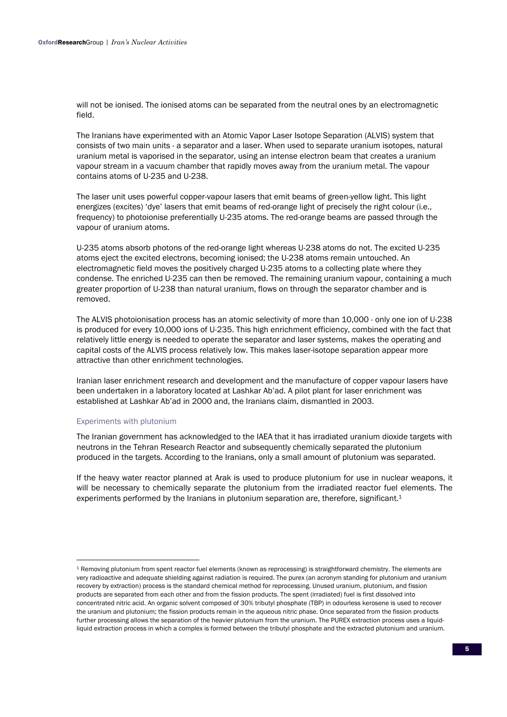will not be ionised. The ionised atoms can be separated from the neutral ones by an electromagnetic field.

The Iranians have experimented with an Atomic Vapor Laser Isotope Separation (ALVIS) system that consists of two main units - a separator and a laser. When used to separate uranium isotopes, natural uranium metal is vaporised in the separator, using an intense electron beam that creates a uranium vapour stream in a vacuum chamber that rapidly moves away from the uranium metal. The vapour contains atoms of U-235 and U-238.

The laser unit uses powerful copper-vapour lasers that emit beams of green-yellow light. This light energizes (excites) 'dye' lasers that emit beams of red-orange light of precisely the right colour (i.e., frequency) to photoionise preferentially U-235 atoms. The red-orange beams are passed through the vapour of uranium atoms.

U-235 atoms absorb photons of the red-orange light whereas U-238 atoms do not. The excited U-235 atoms eject the excited electrons, becoming ionised; the U-238 atoms remain untouched. An electromagnetic field moves the positively charged U-235 atoms to a collecting plate where they condense. The enriched U-235 can then be removed. The remaining uranium vapour, containing a much greater proportion of U-238 than natural uranium, flows on through the separator chamber and is removed.

The ALVIS photoionisation process has an atomic selectivity of more than 10,000 - only one ion of U-238 is produced for every 10,000 ions of U-235. This high enrichment efficiency, combined with the fact that relatively little energy is needed to operate the separator and laser systems, makes the operating and capital costs of the ALVIS process relatively low. This makes laser-isotope separation appear more attractive than other enrichment technologies.

Iranian laser enrichment research and development and the manufacture of copper vapour lasers have been undertaken in a laboratory located at Lashkar Ab'ad. A pilot plant for laser enrichment was established at Lashkar Ab'ad in 2000 and, the Iranians claim, dismantled in 2003.

#### Experiments with plutonium

l

The Iranian government has acknowledged to the IAEA that it has irradiated uranium dioxide targets with neutrons in the Tehran Research Reactor and subsequently chemically separated the plutonium produced in the targets. According to the Iranians, only a small amount of plutonium was separated.

If the heavy water reactor planned at Arak is used to produce plutonium for use in nuclear weapons, it will be necessary to chemically separate the plutonium from the irradiated reactor fuel elements. The experiments performed by the Iranians in plutonium separation are, therefore, significant.<sup>1</sup>

<sup>1</sup> Removing plutonium from spent reactor fuel elements (known as reprocessing) is straightforward chemistry. The elements are very radioactive and adequate shielding against radiation is required. The purex (an acronym standing for plutonium and uranium recovery by extraction) process is the standard chemical method for reprocessing. Unused uranium, plutonium, and fission products are separated from each other and from the fission products. The spent (irradiated) fuel is first dissolved into concentrated nitric acid. An organic solvent composed of 30% tributyl phosphate (TBP) in odourless kerosene is used to recover the uranium and plutonium; the fission products remain in the aqueous nitric phase. Once separated from the fission products further processing allows the separation of the heavier plutonium from the uranium. The PUREX extraction process uses a liquidliquid extraction process in which a complex is formed between the tributyl phosphate and the extracted plutonium and uranium.